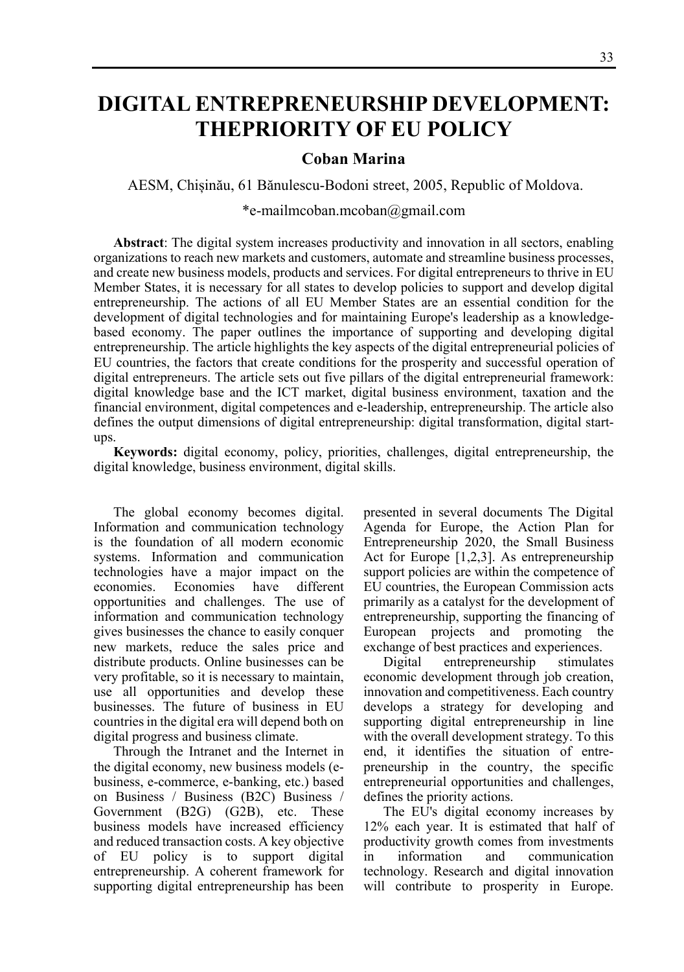## **DIGITAL ENTREPRENEURSHIP DEVELOPMENT: THEPRIORITY OF EU POLICY**

## **Coban Marina**

AESM, Chișinău, 61 Bănulescu-Bodoni street, 2005, Republic of Moldova.

## \*e-mailmcoban.mcoban@gmail.com

**Abstract**: The digital system increases productivity and innovation in all sectors, enabling organizations to reach new markets and customers, automate and streamline business processes, and create new business models, products and services. For digital entrepreneurs to thrive in EU Member States, it is necessary for all states to develop policies to support and develop digital entrepreneurship. The actions of all EU Member States are an essential condition for the development of digital technologies and for maintaining Europe's leadership as a knowledgebased economy. The paper outlines the importance of supporting and developing digital entrepreneurship. The article highlights the key aspects of the digital entrepreneurial policies of EU countries, the factors that create conditions for the prosperity and successful operation of digital entrepreneurs. The article sets out five pillars of the digital entrepreneurial framework: digital knowledge base and the ICT market, digital business environment, taxation and the financial environment, digital competences and e-leadership, entrepreneurship. The article also defines the output dimensions of digital entrepreneurship: digital transformation, digital startups.

**Keywords:** digital economy, policy, priorities, challenges, digital entrepreneurship, the digital knowledge, business environment, digital skills.

The global economy becomes digital. Information and communication technology is the foundation of all modern economic systems. Information and communication technologies have a major impact on the economies. Economies have different opportunities and challenges. The use of information and communication technology gives businesses the chance to easily conquer new markets, reduce the sales price and distribute products. Online businesses can be very profitable, so it is necessary to maintain, use all opportunities and develop these businesses. The future of business in EU countries in the digital era will depend both on digital progress and business climate.

Through the Intranet and the Internet in the digital economy, new business models (ebusiness, e-commerce, e-banking, etc.) based on Business / Business (B2C) Business / Government (B2G) (G2B), etc. These business models have increased efficiency and reduced transaction costs. A key objective of EU policy is to support digital entrepreneurship. A coherent framework for supporting digital entrepreneurship has been presented in several documents The Digital Agenda for Europe, the Action Plan for Entrepreneurship 2020, the Small Business Act for Europe [1,2,3]. As entrepreneurship support policies are within the competence of EU countries, the European Commission acts primarily as a catalyst for the development of entrepreneurship, supporting the financing of European projects and promoting the exchange of best practices and experiences.

Digital entrepreneurship stimulates economic development through job creation, innovation and competitiveness. Each country develops a strategy for developing and supporting digital entrepreneurship in line with the overall development strategy. To this end, it identifies the situation of entrepreneurship in the country, the specific entrepreneurial opportunities and challenges, defines the priority actions.

The EU's digital economy increases by 12% each year. It is estimated that half of productivity growth comes from investments in information and communication technology. Research and digital innovation will contribute to prosperity in Europe.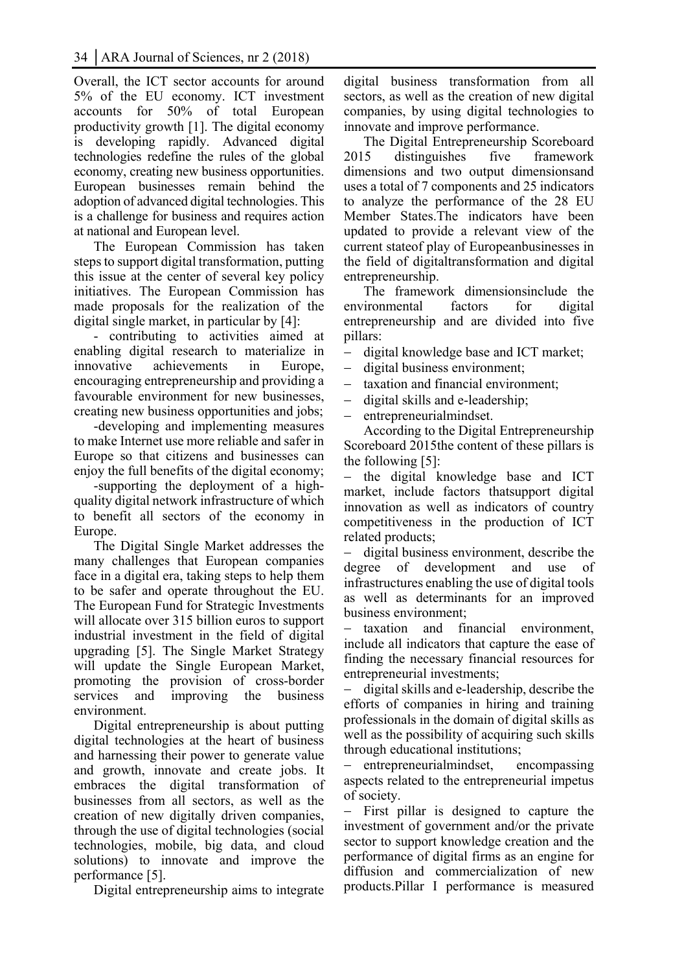Overall, the ICT sector accounts for around 5% of the EU economy. ICT investment accounts for 50% of total European productivity growth [1]. The digital economy is developing rapidly. Advanced digital technologies redefine the rules of the global economy, creating new business opportunities. European businesses remain behind the adoption of advanced digital technologies. This is a challenge for business and requires action at national and European level.

The European Commission has taken steps to support digital transformation, putting this issue at the center of several key policy initiatives. The European Commission has made proposals for the realization of the digital single market, in particular by [4]:

- contributing to activities aimed at enabling digital research to materialize in innovative achievements in Europe, encouraging entrepreneurship and providing a favourable environment for new businesses, creating new business opportunities and jobs;

-developing and implementing measures to make Internet use more reliable and safer in Europe so that citizens and businesses can enjoy the full benefits of the digital economy;

-supporting the deployment of a highquality digital network infrastructure of which to benefit all sectors of the economy in Europe.

The Digital Single Market addresses the many challenges that European companies face in a digital era, taking steps to help them to be safer and operate throughout the EU. The European Fund for Strategic Investments will allocate over 315 billion euros to support industrial investment in the field of digital upgrading [5]. The Single Market Strategy will update the Single European Market, promoting the provision of cross-border services and improving the business environment.

Digital entrepreneurship is about putting digital technologies at the heart of business and harnessing their power to generate value and growth, innovate and create jobs. It embraces the digital transformation of businesses from all sectors, as well as the creation of new digitally driven companies, through the use of digital technologies (social technologies, mobile, big data, and cloud solutions) to innovate and improve the performance [5].

Digital entrepreneurship aims to integrate

digital business transformation from all sectors, as well as the creation of new digital companies, by using digital technologies to innovate and improve performance.

The Digital Entrepreneurship Scoreboard 2015 distinguishes five framework dimensions and two output dimensionsand uses a total of 7 components and 25 indicators to analyze the performance of the 28 EU Member States.The indicators have been updated to provide a relevant view of the current stateof play of Europeanbusinesses in the field of digitaltransformation and digital entrepreneurship.

The framework dimensionsinclude the environmental factors for digital entrepreneurship and are divided into five pillars:

digital knowledge base and ICT market;

- digital business environment;
- taxation and financial environment;
- digital skills and e-leadership;
- entrepreneurialmindset.

According to the Digital Entrepreneurship Scoreboard 2015the content of these pillars is the following [5]:

 the digital knowledge base and ICT market, include factors thatsupport digital innovation as well as indicators of country competitiveness in the production of ICT related products;

 digital business environment, describe the degree of development and use of infrastructures enabling the use of digital tools as well as determinants for an improved business environment;

 taxation and financial environment, include all indicators that capture the ease of finding the necessary financial resources for entrepreneurial investments;

 digital skills and e-leadership, describe the efforts of companies in hiring and training professionals in the domain of digital skills as well as the possibility of acquiring such skills through educational institutions;

 entrepreneurialmindset, encompassing aspects related to the entrepreneurial impetus of society.

- First pillar is designed to capture the investment of government and/or the private sector to support knowledge creation and the performance of digital firms as an engine for diffusion and commercialization of new products.Pillar I performance is measured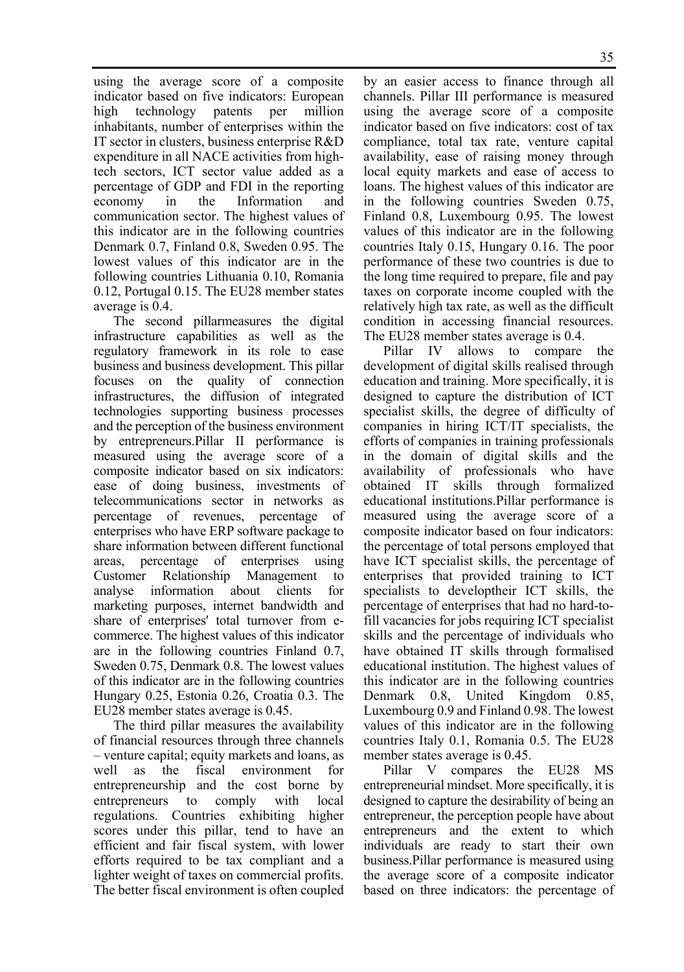using the average score of a composite indicator based on five indicators: European high technology patents per million inhabitants, number of enterprises within the IT sector in clusters, business enterprise R&D expenditure in all NACE activities from hightech sectors, ICT sector value added as a percentage of GDP and FDI in the reporting economy in the Information and communication sector. The highest values of this indicator are in the following countries Denmark 0.7, Finland 0.8, Sweden 0.95. The lowest values of this indicator are in the following countries Lithuania 0.10, Romania 0.12, Portugal 0.15. The EU28 member states average is 0.4.

The second pillarmeasures the digital infrastructure capabilities as well as the regulatory framework in its role to ease business and business development. This pillar focuses on the quality of connection infrastructures, the diffusion of integrated technologies supporting business processes and the perception of the business environment by entrepreneurs.Pillar II performance is measured using the average score of a composite indicator based on six indicators: ease of doing business, investments of telecommunications sector in networks as percentage of revenues, percentage of enterprises who have ERP software package to share information between different functional areas, percentage of enterprises using Customer Relationship Management to analyse information about clients for marketing purposes, internet bandwidth and share of enterprises' total turnover from ecommerce. The highest values of this indicator are in the following countries Finland 0.7, Sweden 0.75, Denmark 0.8. The lowest values of this indicator are in the following countries Hungary 0.25, Estonia 0.26, Croatia 0.3. The EU28 member states average is 0.45.

The third pillar measures the availability of financial resources through three channels – venture capital; equity markets and loans, as well as the fiscal environment for entrepreneurship and the cost borne by entrepreneurs to comply with local regulations. Countries exhibiting higher scores under this pillar, tend to have an efficient and fair fiscal system, with lower efforts required to be tax compliant and a lighter weight of taxes on commercial profits. The better fiscal environment is often coupled

by an easier access to finance through all channels. Pillar III performance is measured using the average score of a composite indicator based on five indicators: cost of tax compliance, total tax rate, venture capital availability, ease of raising money through local equity markets and ease of access to loans. The highest values of this indicator are in the following countries Sweden 0.75, Finland 0.8, Luxembourg 0.95. The lowest values of this indicator are in the following countries Italy 0.15, Hungary 0.16. The poor performance of these two countries is due to the long time required to prepare, file and pay taxes on corporate income coupled with the relatively high tax rate, as well as the difficult condition in accessing financial resources. The EU28 member states average is 0.4.

Pillar IV allows to compare the development of digital skills realised through education and training. More specifically, it is designed to capture the distribution of ICT specialist skills, the degree of difficulty of companies in hiring ICT/IT specialists, the efforts of companies in training professionals in the domain of digital skills and the availability of professionals who have obtained IT skills through formalized educational institutions.Pillar performance is measured using the average score of a composite indicator based on four indicators: the percentage of total persons employed that have ICT specialist skills, the percentage of enterprises that provided training to ICT specialists to developtheir ICT skills, the percentage of enterprises that had no hard-tofill vacancies for jobs requiring ICT specialist skills and the percentage of individuals who have obtained IT skills through formalised educational institution. The highest values of this indicator are in the following countries Denmark 0.8, United Kingdom 0.85, Luxembourg 0.9 and Finland 0.98. The lowest values of this indicator are in the following countries Italy 0.1, Romania 0.5. The EU28 member states average is 0.45.

Pillar V compares the EU28 MS entrepreneurial mindset. More specifically, it is designed to capture the desirability of being an entrepreneur, the perception people have about entrepreneurs and the extent to which individuals are ready to start their own business.Pillar performance is measured using the average score of a composite indicator based on three indicators: the percentage of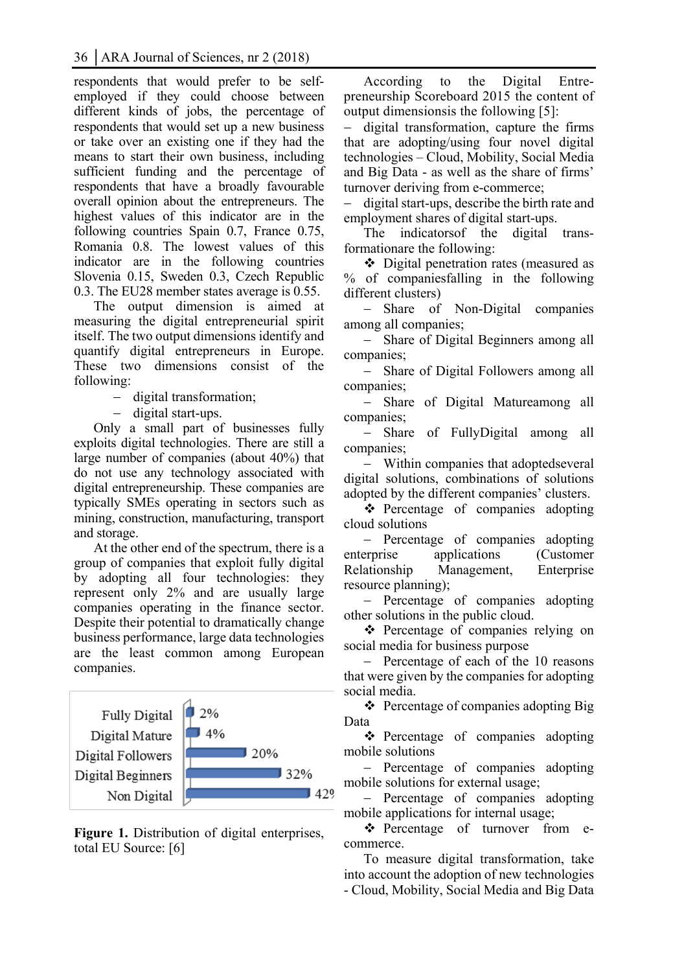respondents that would prefer to be selfemployed if they could choose between different kinds of jobs, the percentage of respondents that would set up a new business or take over an existing one if they had the means to start their own business, including sufficient funding and the percentage of respondents that have a broadly favourable overall opinion about the entrepreneurs. The highest values of this indicator are in the following countries Spain 0.7, France 0.75, Romania 0.8. The lowest values of this indicator are in the following countries Slovenia 0.15, Sweden 0.3, Czech Republic 0.3. The EU28 member states average is 0.55.

The output dimension is aimed at measuring the digital entrepreneurial spirit itself. The two output dimensions identify and quantify digital entrepreneurs in Europe. These two dimensions consist of the following:

- digital transformation;

- digital start-ups.

Only a small part of businesses fully exploits digital technologies. There are still a large number of companies (about 40%) that do not use any technology associated with digital entrepreneurship. These companies are typically SMEs operating in sectors such as mining, construction, manufacturing, transport and storage.

At the other end of the spectrum, there is a group of companies that exploit fully digital by adopting all four technologies: they represent only 2% and are usually large companies operating in the finance sector. Despite their potential to dramatically change business performance, large data technologies are the least common among European companies.



**Figure 1.** Distribution of digital enterprises, total EU Source: [6]

According to the Digital Entrepreneurship Scoreboard 2015 the content of output dimensionsis the following [5]:

 digital transformation, capture the firms that are adopting/using four novel digital technologies – Cloud, Mobility, Social Media and Big Data - as well as the share of firms' turnover deriving from e-commerce;

- digital start-ups, describe the birth rate and employment shares of digital start-ups.

The indicatorsof the digital transformationare the following:

 Digital penetration rates (measured as % of companiesfalling in the following different clusters)

- Share of Non-Digital companies among all companies;

- Share of Digital Beginners among all companies;

- Share of Digital Followers among all companies;

 Share of Digital Matureamong all companies;

 Share of FullyDigital among all companies;

 Within companies that adoptedseveral digital solutions, combinations of solutions adopted by the different companies' clusters.

• Percentage of companies adopting cloud solutions

- Percentage of companies adopting enterprise applications (Customer Relationship Management, Enterprise resource planning);

- Percentage of companies adopting other solutions in the public cloud.

**❖** Percentage of companies relying on social media for business purpose

- Percentage of each of the 10 reasons that were given by the companies for adopting social media.

❖ Percentage of companies adopting Big Data

\* Percentage of companies adopting mobile solutions

- Percentage of companies adopting mobile solutions for external usage;

 Percentage of companies adopting mobile applications for internal usage;

\* Percentage of turnover from ecommerce.

To measure digital transformation, take into account the adoption of new technologies - Cloud, Mobility, Social Media and Big Data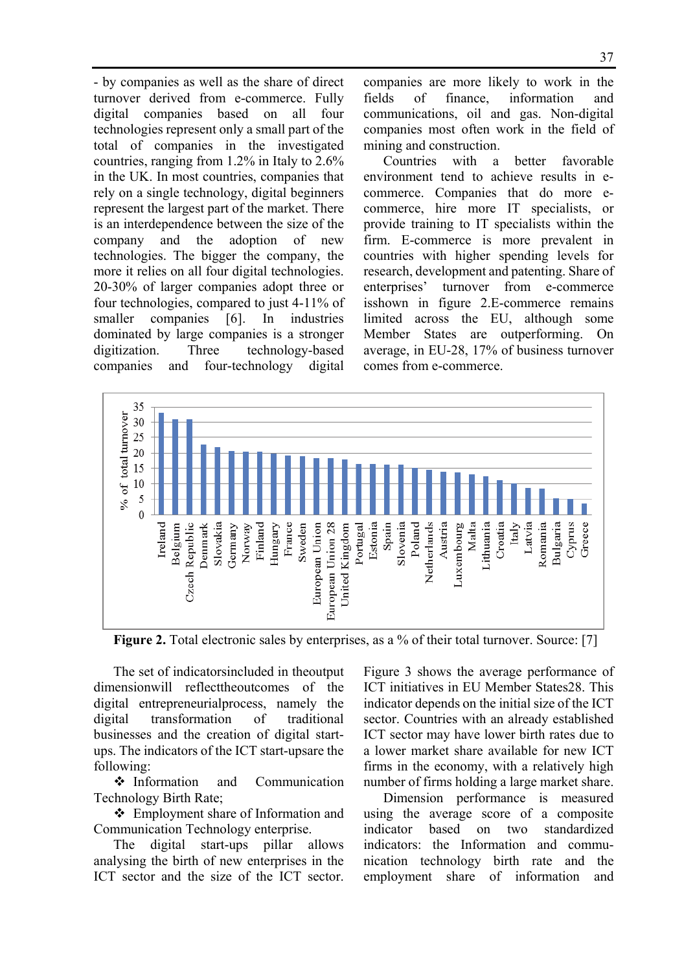- by companies as well as the share of direct turnover derived from e-commerce. Fully digital companies based on all four technologies represent only a small part of the total of companies in the investigated countries, ranging from 1.2% in Italy to 2.6% in the UK. In most countries, companies that rely on a single technology, digital beginners represent the largest part of the market. There is an interdependence between the size of the company and the adoption of new technologies. The bigger the company, the more it relies on all four digital technologies. 20-30% of larger companies adopt three or four technologies, compared to just 4-11% of smaller companies [6]. In industries dominated by large companies is a stronger digitization. Three technology-based companies and four-technology digital companies are more likely to work in the fields of finance, information and communications, oil and gas. Non-digital companies most often work in the field of mining and construction.

Countries with a better favorable environment tend to achieve results in ecommerce. Companies that do more ecommerce, hire more IT specialists, or provide training to IT specialists within the firm. E-commerce is more prevalent in countries with higher spending levels for research, development and patenting. Share of enterprises' turnover from e-commerce isshown in figure 2.E-commerce remains limited across the EU, although some Member States are outperforming. On average, in EU-28, 17% of business turnover comes from e-commerce.



**Figure 2.** Total electronic sales by enterprises, as a % of their total turnover. Source: [7]

The set of indicatorsincluded in theoutput dimensionwill reflecttheoutcomes of the digital entrepreneurialprocess, namely the digital transformation of traditional businesses and the creation of digital startups. The indicators of the ICT start-upsare the following:

 $\triangle$  Information and Communication Technology Birth Rate;

 Employment share of Information and Communication Technology enterprise.

The digital start-ups pillar allows analysing the birth of new enterprises in the ICT sector and the size of the ICT sector. Figure 3 shows the average performance of ICT initiatives in EU Member States28. This indicator depends on the initial size of the ICT sector. Countries with an already established ICT sector may have lower birth rates due to a lower market share available for new ICT firms in the economy, with a relatively high number of firms holding a large market share.

Dimension performance is measured using the average score of a composite indicator based on two standardized indicators: the Information and communication technology birth rate and the employment share of information and